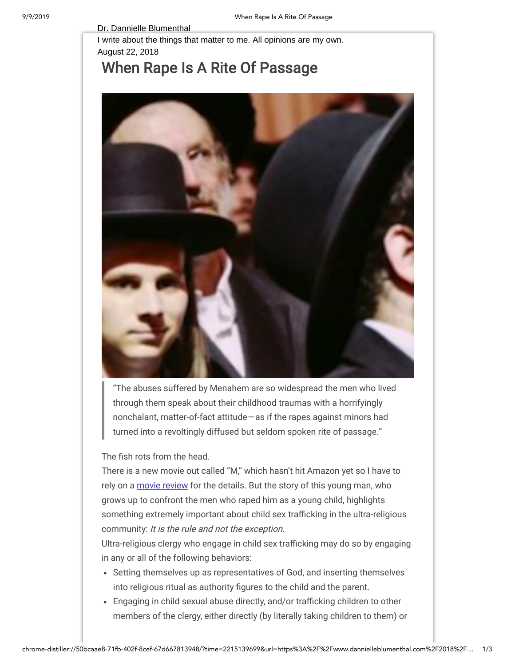## Dr. Dannielle Blumenthal

I write about the things that matter to me. All opinions are my own. August 22, 2018

## When Rape Is A Rite Of [Passage](https://www.dannielleblumenthal.com/2018/08/when-rape-is-rite-of-passage.html)



"The abuses suffered by Menahem are so widespread the men who lived through them speak about their childhood traumas with a horrifyingly nonchalant, matter-of-fact attitude — as if the rapes against minors had turned into a revoltingly diffused but seldom spoken rite of passage."

The fish rots from the head.

There is a new movie out called "M," which hasn't hit Amazon yet so I have to rely on a [movie review](https://thefilmstage.com/reviews/locarno-review-yolande-zaubermans-m-is-a-piercing-look-into-an-unspeakable-tragedy/) for the details. But the story of this young man, who grows up to confront the men who raped him as a young child, highlights something extremely important about child sex trafficking in the ultra-religious community: It is the rule and not the exception.

Ultra-religious clergy who engage in child sex trafficking may do so by engaging in any or all of the following behaviors:

- Setting themselves up as representatives of God, and inserting themselves into religious ritual as authority figures to the child and the parent.
- Engaging in child sexual abuse directly, and/or trafficking children to other members of the clergy, either directly (by literally taking children to them) or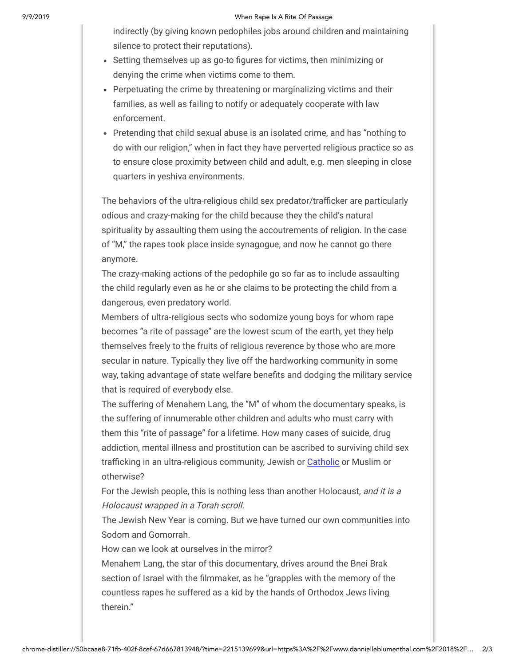## 9/9/2019 When Rape Is A Rite Of Passage

indirectly (by giving known pedophiles jobs around children and maintaining silence to protect their reputations).

- Setting themselves up as go-to figures for victims, then minimizing or denying the crime when victims come to them.
- Perpetuating the crime by threatening or marginalizing victims and their families, as well as failing to notify or adequately cooperate with law enforcement.
- Pretending that child sexual abuse is an isolated crime, and has "nothing to do with our religion," when in fact they have perverted religious practice so as to ensure close proximity between child and adult, e.g. men sleeping in close quarters in yeshiva environments.

The behaviors of the ultra-religious child sex predator/trafficker are particularly odious and crazy-making for the child because they the child's natural spirituality by assaulting them using the accoutrements of religion. In the case of "M," the rapes took place inside synagogue, and now he cannot go there anymore.

The crazy-making actions of the pedophile go so far as to include assaulting the child regularly even as he or she claims to be protecting the child from a dangerous, even predatory world.

Members of ultra-religious sects who sodomize young boys for whom rape becomes "a rite of passage" are the lowest scum of the earth, yet they help themselves freely to the fruits of religious reverence by those who are more secular in nature. Typically they live off the hardworking community in some way, taking advantage of state welfare benefits and dodging the military service that is required of everybody else.

The suffering of Menahem Lang, the "M" of whom the documentary speaks, is the suffering of innumerable other children and adults who must carry with them this "rite of passage" for a lifetime. How many cases of suicide, drug addiction, mental illness and prostitution can be ascribed to surviving child sex trafficking in an ultra-religious community, Jewish or [Catholic](https://www.nytimes.com/2018/08/14/us/catholic-church-sex-abuse-pennsylvania.html) or Muslim or otherwise?

For the Jewish people, this is nothing less than another Holocaust, and it is a Holocaust wrapped in a Torah scroll.

The Jewish New Year is coming. But we have turned our own communities into Sodom and Gomorrah.

How can we look at ourselves in the mirror?

Menahem Lang, the star of this documentary, drives around the Bnei Brak section of Israel with the filmmaker, as he "grapples with the memory of the countless rapes he suffered as a kid by the hands of Orthodox Jews living therein."